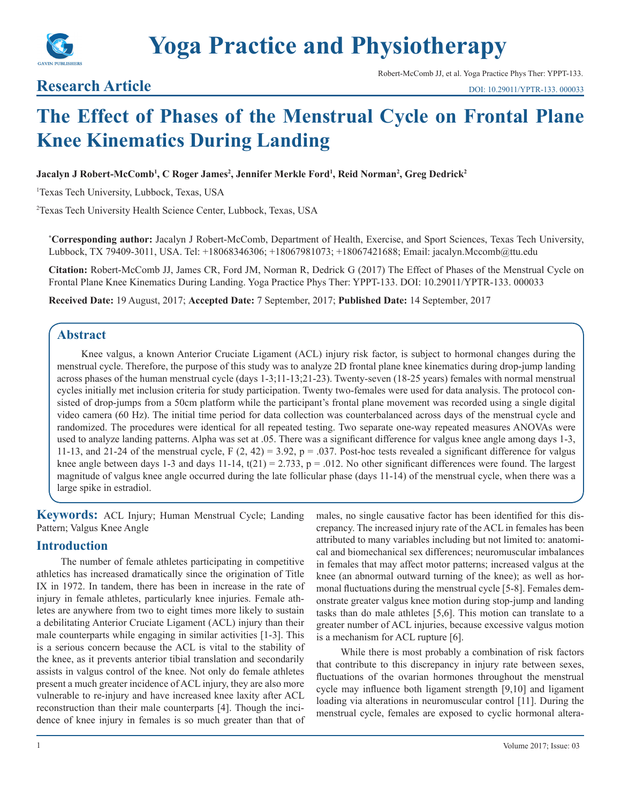

# **Research Article**

# **The Effect of Phases of the Menstrual Cycle on Frontal Plane Knee Kinematics During Landing**

#### $\bf{J}$ acalyn  $\bf{J}$  Robert-McComb<sup>1</sup>, C Roger James<sup>2</sup>, Jennifer Merkle Ford<sup>1</sup>, Reid Norman<sup>2</sup>, Greg Dedrick<sup>2</sup>

1 Texas Tech University, Lubbock, Texas, USA

2 Texas Tech University Health Science Center, Lubbock, Texas, USA

**\* Corresponding author:** Jacalyn J Robert-McComb, Department of Health, Exercise, and Sport Sciences, Texas Tech University, Lubbock, TX 79409-3011, USA. Tel: +18068346306; +18067981073; +18067421688; Email: jacalyn.Mccomb@ttu.edu

**Citation:** Robert-McComb JJ, James CR, Ford JM, Norman R, Dedrick G (2017) The Effect of Phases of the Menstrual Cycle on Frontal Plane Knee Kinematics During Landing. Yoga Practice Phys Ther: YPPT-133. DOI: 10.29011/YPTR-133. 000033

**Received Date:** 19 August, 2017; **Accepted Date:** 7 September, 2017; **Published Date:** 14 September, 2017

#### **Abstract**

Knee valgus, a known Anterior Cruciate Ligament (ACL) injury risk factor, is subject to hormonal changes during the menstrual cycle. Therefore, the purpose of this study was to analyze 2D frontal plane knee kinematics during drop-jump landing across phases of the human menstrual cycle (days 1-3;11-13;21-23). Twenty-seven (18-25 years) females with normal menstrual cycles initially met inclusion criteria for study participation. Twenty two-females were used for data analysis. The protocol consisted of drop-jumps from a 50cm platform while the participant's frontal plane movement was recorded using a single digital video camera (60 Hz). The initial time period for data collection was counterbalanced across days of the menstrual cycle and randomized. The procedures were identical for all repeated testing. Two separate one-way repeated measures ANOVAs were used to analyze landing patterns. Alpha was set at .05. There was a significant difference for valgus knee angle among days 1-3, 11-13, and 21-24 of the menstrual cycle,  $F(2, 42) = 3.92$ ,  $p = .037$ . Post-hoc tests revealed a significant difference for valgus knee angle between days 1-3 and days 11-14,  $t(21) = 2.733$ ,  $p = .012$ . No other significant differences were found. The largest magnitude of valgus knee angle occurred during the late follicular phase (days 11-14) of the menstrual cycle, when there was a large spike in estradiol.

**Keywords:** ACL Injury; Human Menstrual Cycle; Landing Pattern; Valgus Knee Angle

## **Introduction**

The number of female athletes participating in competitive athletics has increased dramatically since the origination of Title IX in 1972. In tandem, there has been in increase in the rate of injury in female athletes, particularly knee injuries. Female athletes are anywhere from two to eight times more likely to sustain a debilitating Anterior Cruciate Ligament (ACL) injury than their male counterparts while engaging in similar activities [1-3]. This is a serious concern because the ACL is vital to the stability of the knee, as it prevents anterior tibial translation and secondarily assists in valgus control of the knee. Not only do female athletes present a much greater incidence of ACL injury, they are also more vulnerable to re-injury and have increased knee laxity after ACL reconstruction than their male counterparts [4]. Though the incidence of knee injury in females is so much greater than that of

males, no single causative factor has been identified for this discrepancy. The increased injury rate of the ACL in females has been attributed to many variables including but not limited to: anatomical and biomechanical sex differences; neuromuscular imbalances in females that may affect motor patterns; increased valgus at the knee (an abnormal outward turning of the knee); as well as hormonal fluctuations during the menstrual cycle [5-8]. Females demonstrate greater valgus knee motion during stop-jump and landing tasks than do male athletes [5,6]. This motion can translate to a greater number of ACL injuries, because excessive valgus motion is a mechanism for ACL rupture [6].

While there is most probably a combination of risk factors that contribute to this discrepancy in injury rate between sexes, fluctuations of the ovarian hormones throughout the menstrual cycle may influence both ligament strength [9,10] and ligament loading via alterations in neuromuscular control [11]. During the menstrual cycle, females are exposed to cyclic hormonal altera-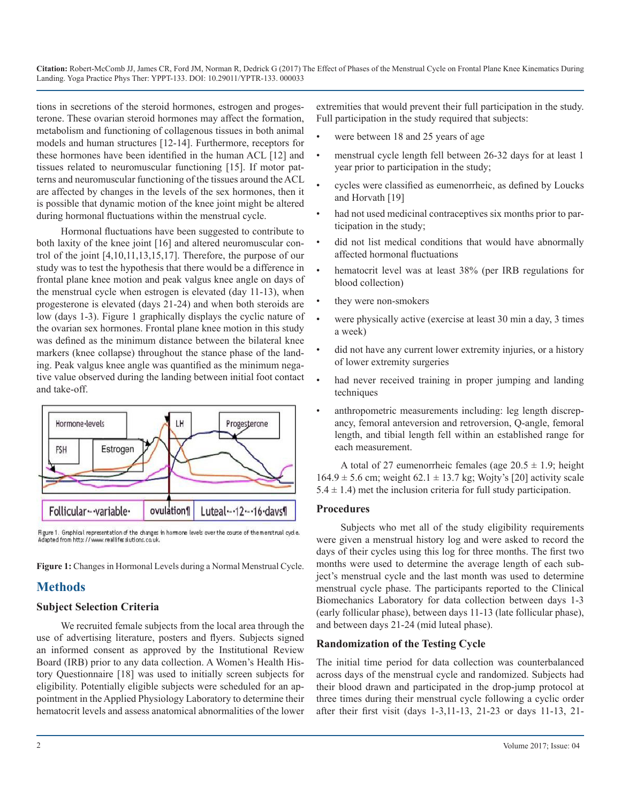tions in secretions of the steroid hormones, estrogen and progesterone. These ovarian steroid hormones may affect the formation, metabolism and functioning of collagenous tissues in both animal models and human structures [12-14]. Furthermore, receptors for these hormones have been identified in the human ACL [12] and tissues related to neuromuscular functioning [15]. If motor patterns and neuromuscular functioning of the tissues around the ACL are affected by changes in the levels of the sex hormones, then it is possible that dynamic motion of the knee joint might be altered during hormonal fluctuations within the menstrual cycle.

Hormonal fluctuations have been suggested to contribute to both laxity of the knee joint [16] and altered neuromuscular control of the joint [4,10,11,13,15,17]. Therefore, the purpose of our study was to test the hypothesis that there would be a difference in frontal plane knee motion and peak valgus knee angle on days of the menstrual cycle when estrogen is elevated (day 11-13), when progesterone is elevated (days 21-24) and when both steroids are low (days 1-3). Figure 1 graphically displays the cyclic nature of the ovarian sex hormones. Frontal plane knee motion in this study was defined as the minimum distance between the bilateral knee markers (knee collapse) throughout the stance phase of the landing. Peak valgus knee angle was quantified as the minimum negative value observed during the landing between initial foot contact and take-off.



Figure 1. Graphical representation of the changes in hormone levels over the course of the menstrual cycle. Adapted from http://www.reallifes.dutions.co.uk.

**Figure 1:** Changes in Hormonal Levels during a Normal Menstrual Cycle.

# **Methods**

#### **Subject Selection Criteria**

We recruited female subjects from the local area through the use of advertising literature, posters and flyers. Subjects signed an informed consent as approved by the Institutional Review Board (IRB) prior to any data collection. A Women's Health History Questionnaire [18] was used to initially screen subjects for eligibility. Potentially eligible subjects were scheduled for an appointment in the Applied Physiology Laboratory to determine their hematocrit levels and assess anatomical abnormalities of the lower extremities that would prevent their full participation in the study. Full participation in the study required that subjects:

- were between 18 and 25 years of age
- menstrual cycle length fell between 26-32 days for at least 1 year prior to participation in the study;
- cycles were classified as eumenorrheic, as defined by Loucks and Horvath [19]
- had not used medicinal contraceptives six months prior to participation in the study;
- did not list medical conditions that would have abnormally affected hormonal fluctuations
- hematocrit level was at least 38% (per IRB regulations for blood collection)
- they were non-smokers
- were physically active (exercise at least 30 min a day, 3 times) a week)
- did not have any current lower extremity injuries, or a history of lower extremity surgeries
- had never received training in proper jumping and landing techniques
- anthropometric measurements including: leg length discrepancy, femoral anteversion and retroversion, Q-angle, femoral length, and tibial length fell within an established range for each measurement.

A total of 27 eumenorrheic females (age  $20.5 \pm 1.9$ ; height  $164.9 \pm 5.6$  cm; weight  $62.1 \pm 13.7$  kg; Wojty's [20] activity scale  $5.4 \pm 1.4$ ) met the inclusion criteria for full study participation.

#### **Procedures**

Subjects who met all of the study eligibility requirements were given a menstrual history log and were asked to record the days of their cycles using this log for three months. The first two months were used to determine the average length of each subject's menstrual cycle and the last month was used to determine menstrual cycle phase. The participants reported to the Clinical Biomechanics Laboratory for data collection between days 1-3 (early follicular phase), between days 11-13 (late follicular phase), and between days 21-24 (mid luteal phase).

#### **Randomization of the Testing Cycle**

The initial time period for data collection was counterbalanced across days of the menstrual cycle and randomized. Subjects had their blood drawn and participated in the drop-jump protocol at three times during their menstrual cycle following a cyclic order after their first visit (days 1-3,11-13, 21-23 or days 11-13, 21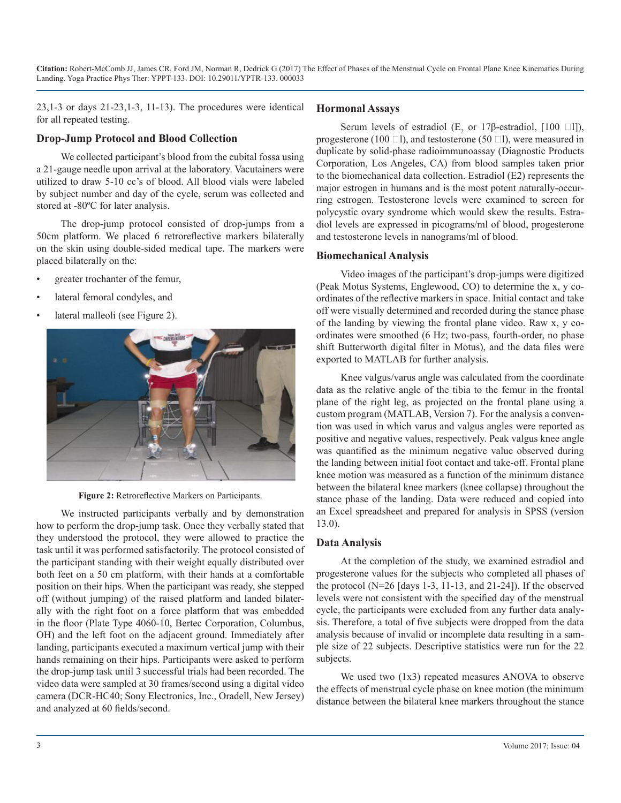23,1-3 or days 21-23,1-3, 11-13). The procedures were identical for all repeated testing.

#### **Drop-Jump Protocol and Blood Collection**

We collected participant's blood from the cubital fossa using a 21-gauge needle upon arrival at the laboratory. Vacutainers were utilized to draw 5-10 cc's of blood. All blood vials were labeled by subject number and day of the cycle, serum was collected and stored at -80ºC for later analysis.

The drop-jump protocol consisted of drop-jumps from a 50cm platform. We placed 6 retroreflective markers bilaterally on the skin using double-sided medical tape. The markers were placed bilaterally on the:

- greater trochanter of the femur,
- lateral femoral condyles, and
- lateral malleoli (see Figure 2).





We instructed participants verbally and by demonstration how to perform the drop-jump task. Once they verbally stated that they understood the protocol, they were allowed to practice the task until it was performed satisfactorily. The protocol consisted of the participant standing with their weight equally distributed over both feet on a 50 cm platform, with their hands at a comfortable position on their hips. When the participant was ready, she stepped off (without jumping) of the raised platform and landed bilaterally with the right foot on a force platform that was embedded in the floor (Plate Type 4060-10, Bertec Corporation, Columbus, OH) and the left foot on the adjacent ground. Immediately after landing, participants executed a maximum vertical jump with their hands remaining on their hips. Participants were asked to perform the drop-jump task until 3 successful trials had been recorded. The video data were sampled at 30 frames/second using a digital video camera (DCR-HC40; Sony Electronics, Inc., Oradell, New Jersey) and analyzed at 60 fields/second.

#### **Hormonal Assays**

Serum levels of estradiol ( $E_2$  or 17β-estradiol, [100  $\Box$ ]), progesterone (100  $\Box$ 1), and testosterone (50  $\Box$ 1), were measured in duplicate by solid-phase radioimmunoassay (Diagnostic Products Corporation, Los Angeles, CA) from blood samples taken prior to the biomechanical data collection. Estradiol (E2) represents the major estrogen in humans and is the most potent naturally-occurring estrogen. Testosterone levels were examined to screen for polycystic ovary syndrome which would skew the results. Estradiol levels are expressed in picograms/ml of blood, progesterone and testosterone levels in nanograms/ml of blood.

#### **Biomechanical Analysis**

Video images of the participant's drop-jumps were digitized (Peak Motus Systems, Englewood, CO) to determine the x, y coordinates of the reflective markers in space. Initial contact and take off were visually determined and recorded during the stance phase of the landing by viewing the frontal plane video. Raw x, y coordinates were smoothed (6 Hz; two-pass, fourth-order, no phase shift Butterworth digital filter in Motus), and the data files were exported to MATLAB for further analysis.

Knee valgus/varus angle was calculated from the coordinate data as the relative angle of the tibia to the femur in the frontal plane of the right leg, as projected on the frontal plane using a custom program (MATLAB, Version 7). For the analysis a convention was used in which varus and valgus angles were reported as positive and negative values, respectively. Peak valgus knee angle was quantified as the minimum negative value observed during the landing between initial foot contact and take-off. Frontal plane knee motion was measured as a function of the minimum distance between the bilateral knee markers (knee collapse) throughout the stance phase of the landing. Data were reduced and copied into an Excel spreadsheet and prepared for analysis in SPSS (version 13.0).

#### **Data Analysis**

At the completion of the study, we examined estradiol and progesterone values for the subjects who completed all phases of the protocol (N=26 [days 1-3, 11-13, and 21-24]). If the observed levels were not consistent with the specified day of the menstrual cycle, the participants were excluded from any further data analysis. Therefore, a total of five subjects were dropped from the data analysis because of invalid or incomplete data resulting in a sample size of 22 subjects. Descriptive statistics were run for the 22 subjects.

We used two (1x3) repeated measures ANOVA to observe the effects of menstrual cycle phase on knee motion (the minimum distance between the bilateral knee markers throughout the stance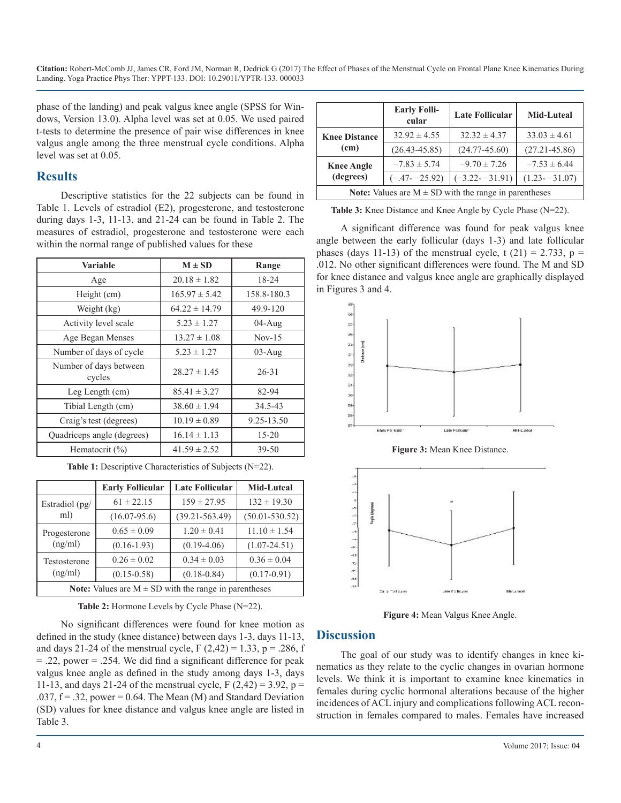phase of the landing) and peak valgus knee angle (SPSS for Windows, Version 13.0). Alpha level was set at 0.05. We used paired t-tests to determine the presence of pair wise differences in knee valgus angle among the three menstrual cycle conditions. Alpha level was set at 0.05.

## **Results**

Descriptive statistics for the 22 subjects can be found in Table 1. Levels of estradiol (E2), progesterone, and testosterone during days 1-3, 11-13, and 21-24 can be found in Table 2. The measures of estradiol, progesterone and testosterone were each within the normal range of published values for these

| <b>Variable</b>                  | $M \pm SD$        | Range       |
|----------------------------------|-------------------|-------------|
| Age                              | $20.18 \pm 1.82$  | 18-24       |
| Height (cm)                      | $165.97 \pm 5.42$ | 158.8-180.3 |
| Weight (kg)                      | $64.22 \pm 14.79$ | 49.9-120    |
| Activity level scale             | $5.23 \pm 1.27$   | $04-Aug$    |
| Age Began Menses                 | $13.27 \pm 1.08$  | $Nov-15$    |
| Number of days of cycle          | $5.23 \pm 1.27$   | $03$ -Aug   |
| Number of days between<br>cycles | $28.27 \pm 1.45$  | $26 - 31$   |
| Leg Length (cm)                  | $85.41 \pm 3.27$  | 82-94       |
| Tibial Length (cm)               | $38.60 \pm 1.94$  | 34.5-43     |
| Craig's test (degrees)           | $10.19 \pm 0.89$  | 9.25-13.50  |
| Quadriceps angle (degrees)       | $16.14 \pm 1.13$  | $15 - 20$   |
| Hematocrit $(\% )$               | $41.59 \pm 2.52$  | $39 - 50$   |

|                                                                  | <b>Early Follicular</b> | <b>Late Follicular</b> | <b>Mid-Luteal</b>  |  |
|------------------------------------------------------------------|-------------------------|------------------------|--------------------|--|
| Estradiol (pg/<br>ml)                                            | $61 \pm 22.15$          | $159 \pm 27.95$        | $132 \pm 19.30$    |  |
|                                                                  | $(16.07 - 95.6)$        | $(39.21 - 563.49)$     | $(50.01 - 530.52)$ |  |
| Progesterone<br>(ng/ml)                                          | $0.65 \pm 0.09$         | $1.20 \pm 0.41$        | $11.10 \pm 1.54$   |  |
|                                                                  | $(0.16-1.93)$           | $(0.19-4.06)$          | $(1.07 - 24.51)$   |  |
| Testosterone<br>(ng/ml)                                          | $0.26 \pm 0.02$         | $0.34 \pm 0.03$        | $0.36 \pm 0.04$    |  |
|                                                                  | $(0.15 - 0.58)$         | $(0.18 - 0.84)$        | $(0.17 - 0.91)$    |  |
| <b>Note:</b> Values are $M \pm SD$ with the range in parentheses |                         |                        |                    |  |

Table 1: Descriptive Characteristics of Subjects (N=22).

**Table 2:** Hormone Levels by Cycle Phase (N=22).

No significant differences were found for knee motion as defined in the study (knee distance) between days 1-3, days 11-13, and days 21-24 of the menstrual cycle,  $F(2,42) = 1.33$ ,  $p = .286$ , f  $= 0.22$ , power  $= 0.254$ . We did find a significant difference for peak valgus knee angle as defined in the study among days 1-3, days 11-13, and days 21-24 of the menstrual cycle,  $F(2,42) = 3.92$ ,  $p =$  $.037, f = .32$ , power = 0.64. The Mean (M) and Standard Deviation (SD) values for knee distance and valgus knee angle are listed in Table 3.

|                                                                  | <b>Early Folli-</b><br>cular | <b>Late Follicular</b> | <b>Mid-Luteal</b> |  |
|------------------------------------------------------------------|------------------------------|------------------------|-------------------|--|
| <b>Knee Distance</b><br>(cm)                                     | $32.92 \pm 4.55$             | $32.32 \pm 4.37$       | $33.03 \pm 4.61$  |  |
|                                                                  | $(26.43 - 45.85)$            | $(24.77 - 45.60)$      | $(27.21 - 45.86)$ |  |
| <b>Knee Angle</b><br>(degrees)                                   | $-7.83 \pm 5.74$             | $-9.70 \pm 7.26$       | $-7.53 \pm 6.44$  |  |
|                                                                  | $(-.47 - -25.92)$            | $(-3.22 - 31.91)$      | $(1.23 - 31.07)$  |  |
| <b>Note:</b> Values are $M \pm SD$ with the range in parentheses |                              |                        |                   |  |

**Table 3:** Knee Distance and Knee Angle by Cycle Phase (N=22).

A significant difference was found for peak valgus knee angle between the early follicular (days 1-3) and late follicular phases (days 11-13) of the menstrual cycle, t  $(21) = 2.733$ , p = .012. No other significant differences were found. The M and SD for knee distance and valgus knee angle are graphically displayed in Figures 3 and 4.



**Figure 3:** Mean Knee Distance.



**Figure 4:** Mean Valgus Knee Angle.

## **Discussion**

The goal of our study was to identify changes in knee kinematics as they relate to the cyclic changes in ovarian hormone levels. We think it is important to examine knee kinematics in females during cyclic hormonal alterations because of the higher incidences of ACL injury and complications following ACL reconstruction in females compared to males. Females have increased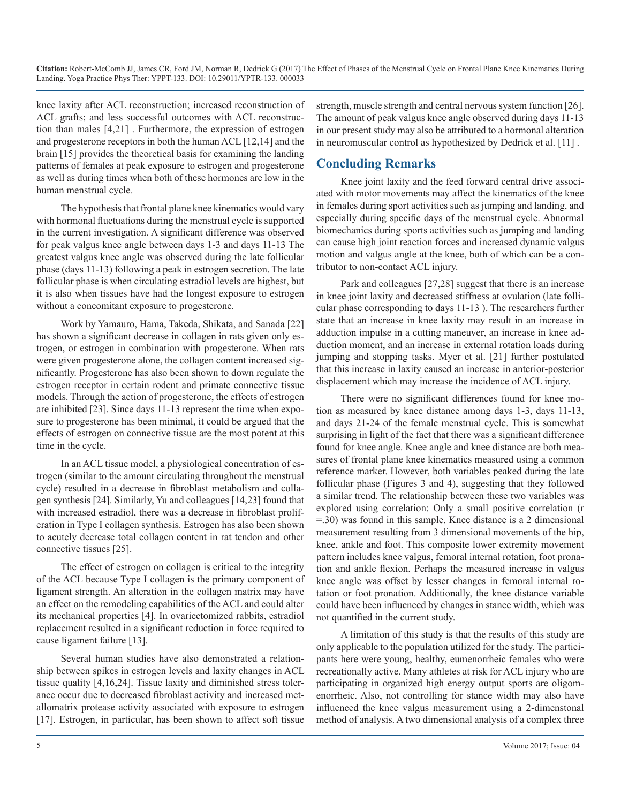knee laxity after ACL reconstruction; increased reconstruction of ACL grafts; and less successful outcomes with ACL reconstruction than males [4,21] . Furthermore, the expression of estrogen and progesterone receptors in both the human ACL [12,14] and the brain [15] provides the theoretical basis for examining the landing patterns of females at peak exposure to estrogen and progesterone as well as during times when both of these hormones are low in the human menstrual cycle.

The hypothesis that frontal plane knee kinematics would vary with hormonal fluctuations during the menstrual cycle is supported in the current investigation. A significant difference was observed for peak valgus knee angle between days 1-3 and days 11-13 The greatest valgus knee angle was observed during the late follicular phase (days 11-13) following a peak in estrogen secretion. The late follicular phase is when circulating estradiol levels are highest, but it is also when tissues have had the longest exposure to estrogen without a concomitant exposure to progesterone.

Work by Yamauro, Hama, Takeda, Shikata, and Sanada [22] has shown a significant decrease in collagen in rats given only estrogen, or estrogen in combination with progesterone. When rats were given progesterone alone, the collagen content increased significantly. Progesterone has also been shown to down regulate the estrogen receptor in certain rodent and primate connective tissue models. Through the action of progesterone, the effects of estrogen are inhibited [23]. Since days 11-13 represent the time when exposure to progesterone has been minimal, it could be argued that the effects of estrogen on connective tissue are the most potent at this time in the cycle.

In an ACL tissue model, a physiological concentration of estrogen (similar to the amount circulating throughout the menstrual cycle) resulted in a decrease in fibroblast metabolism and collagen synthesis [24]. Similarly, Yu and colleagues [14,23] found that with increased estradiol, there was a decrease in fibroblast proliferation in Type I collagen synthesis. Estrogen has also been shown to acutely decrease total collagen content in rat tendon and other connective tissues [25].

The effect of estrogen on collagen is critical to the integrity of the ACL because Type I collagen is the primary component of ligament strength. An alteration in the collagen matrix may have an effect on the remodeling capabilities of the ACL and could alter its mechanical properties [4]. In ovariectomized rabbits, estradiol replacement resulted in a significant reduction in force required to cause ligament failure [13].

Several human studies have also demonstrated a relationship between spikes in estrogen levels and laxity changes in ACL tissue quality [4,16,24]. Tissue laxity and diminished stress tolerance occur due to decreased fibroblast activity and increased metallomatrix protease activity associated with exposure to estrogen [17]. Estrogen, in particular, has been shown to affect soft tissue strength, muscle strength and central nervous system function [26]. The amount of peak valgus knee angle observed during days 11-13 in our present study may also be attributed to a hormonal alteration in neuromuscular control as hypothesized by Dedrick et al. [11] .

# **Concluding Remarks**

Knee joint laxity and the feed forward central drive associated with motor movements may affect the kinematics of the knee in females during sport activities such as jumping and landing, and especially during specific days of the menstrual cycle. Abnormal biomechanics during sports activities such as jumping and landing can cause high joint reaction forces and increased dynamic valgus motion and valgus angle at the knee, both of which can be a contributor to non-contact ACL injury.

Park and colleagues [27,28] suggest that there is an increase in knee joint laxity and decreased stiffness at ovulation (late follicular phase corresponding to days 11-13 ). The researchers further state that an increase in knee laxity may result in an increase in adduction impulse in a cutting maneuver, an increase in knee adduction moment, and an increase in external rotation loads during jumping and stopping tasks. Myer et al. [21] further postulated that this increase in laxity caused an increase in anterior-posterior displacement which may increase the incidence of ACL injury.

There were no significant differences found for knee motion as measured by knee distance among days 1-3, days 11-13, and days 21-24 of the female menstrual cycle. This is somewhat surprising in light of the fact that there was a significant difference found for knee angle. Knee angle and knee distance are both measures of frontal plane knee kinematics measured using a common reference marker. However, both variables peaked during the late follicular phase (Figures 3 and 4), suggesting that they followed a similar trend. The relationship between these two variables was explored using correlation: Only a small positive correlation (r =.30) was found in this sample. Knee distance is a 2 dimensional measurement resulting from 3 dimensional movements of the hip, knee, ankle and foot. This composite lower extremity movement pattern includes knee valgus, femoral internal rotation, foot pronation and ankle flexion. Perhaps the measured increase in valgus knee angle was offset by lesser changes in femoral internal rotation or foot pronation. Additionally, the knee distance variable could have been influenced by changes in stance width, which was not quantified in the current study.

A limitation of this study is that the results of this study are only applicable to the population utilized for the study. The participants here were young, healthy, eumenorrheic females who were recreationally active. Many athletes at risk for ACL injury who are participating in organized high energy output sports are oligomenorrheic. Also, not controlling for stance width may also have influenced the knee valgus measurement using a 2-dimenstonal method of analysis. A two dimensional analysis of a complex three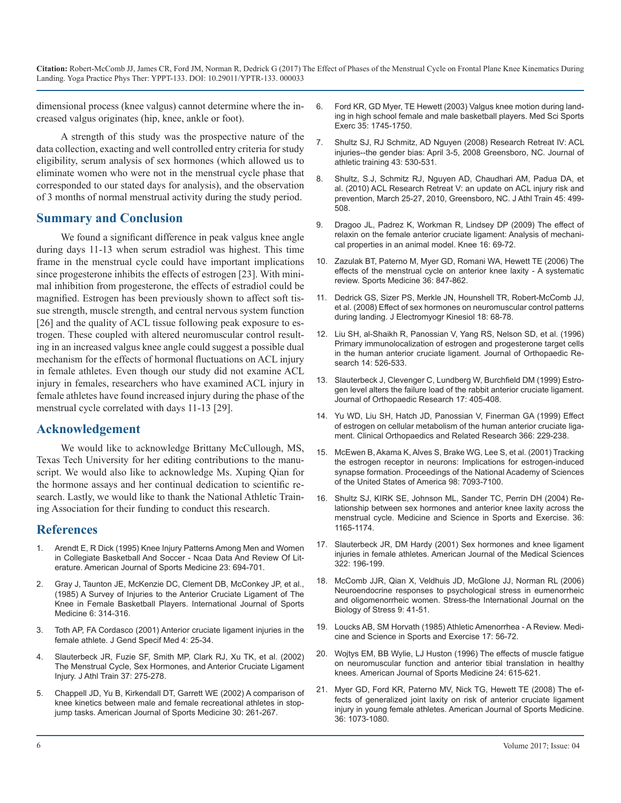dimensional process (knee valgus) cannot determine where the increased valgus originates (hip, knee, ankle or foot).

A strength of this study was the prospective nature of the data collection, exacting and well controlled entry criteria for study eligibility, serum analysis of sex hormones (which allowed us to eliminate women who were not in the menstrual cycle phase that corresponded to our stated days for analysis), and the observation of 3 months of normal menstrual activity during the study period.

#### **Summary and Conclusion**

We found a significant difference in peak valgus knee angle during days 11-13 when serum estradiol was highest. This time frame in the menstrual cycle could have important implications since progesterone inhibits the effects of estrogen [23]. With minimal inhibition from progesterone, the effects of estradiol could be magnified. Estrogen has been previously shown to affect soft tissue strength, muscle strength, and central nervous system function [26] and the quality of ACL tissue following peak exposure to estrogen. These coupled with altered neuromuscular control resulting in an increased valgus knee angle could suggest a possible dual mechanism for the effects of hormonal fluctuations on ACL injury in female athletes. Even though our study did not examine ACL injury in females, researchers who have examined ACL injury in female athletes have found increased injury during the phase of the menstrual cycle correlated with days 11-13 [29].

#### **Acknowledgement**

We would like to acknowledge Brittany McCullough, MS, Texas Tech University for her editing contributions to the manuscript. We would also like to acknowledge Ms. Xuping Qian for the hormone assays and her continual dedication to scientific research. Lastly, we would like to thank the National Athletic Training Association for their funding to conduct this research.

#### **References**

- 1. [Arendt E, R Dick \(1995\) Knee Injury Patterns Among Men and Women](https://www.ncbi.nlm.nih.gov/pubmed/8600737)  in Collegiate Basketball And Soccer - Ncaa Data And Review Of Lit[erature. American Journal of Sports Medicine 23: 694-701](https://www.ncbi.nlm.nih.gov/pubmed/8600737).
- 2. [Gray J, Taunton JE, McKenzie DC, Clement DB, McConkey JP, et al.,](https://www.ncbi.nlm.nih.gov/pubmed/4077357)  (1985) A Survey of Injuries to the Anterior Cruciate Ligament of The [Knee in Female Basketball Players. International Journal of Sports](https://www.ncbi.nlm.nih.gov/pubmed/4077357)  [Medicine 6: 314-316](https://www.ncbi.nlm.nih.gov/pubmed/4077357).
- 3. [Toth AP, FA Cordasco \(2001\) Anterior cruciate ligament injuries in the](https://www.ncbi.nlm.nih.gov/pubmed/11727468)  female athlete. J Gend Specif Med 4: 25-34.
- 4. [Slauterbeck JR, Fuzie SF, Smith MP, Clark RJ, Xu TK, et al. \(2002\)](https://www.ncbi.nlm.nih.gov/pmc/articles/PMC164356/) The Menstrual Cycle, Sex Hormones, and Anterior Cruciate Ligament [Injury. J Athl Train 37: 275-278.](https://www.ncbi.nlm.nih.gov/pmc/articles/PMC164356/)
- 5. [Chappell JD, Yu B, Kirkendall DT, Garrett WE \(2002\) A comparison of](https://www.ncbi.nlm.nih.gov/pubmed/11912098) knee kinetics between male and female recreational athletes in stop[jump tasks. American Journal of Sports Medicine 30: 261-267.](https://www.ncbi.nlm.nih.gov/pubmed/11912098)
- 6. [Ford KR, GD Myer, TE Hewett \(2003\) Valgus knee motion during land](https://www.ncbi.nlm.nih.gov/pubmed/14523314)ing in high school female and male basketball players. Med Sci Sports [Exerc 35: 1745-1750](https://www.ncbi.nlm.nih.gov/pubmed/14523314).
- 7. [Shultz SJ, RJ Schmitz, AD Nguyen \(2008\) Research Retreat IV: ACL](https://www.ncbi.nlm.nih.gov/pmc/articles/PMC2547873/)  injuries--the gender bias: April 3-5, 2008 Greensboro, NC. Journal of [athletic training 43: 530-531.](https://www.ncbi.nlm.nih.gov/pmc/articles/PMC2547873/)
- 8. [Shultz, S.J, Schmitz RJ, Nguyen AD, Chaudhari AM, Padua DA, et](https://www.ncbi.nlm.nih.gov/pmc/articles/PMC2938324/) al. (2010) ACL Research Retreat V: an update on ACL injury risk and [prevention, March 25-27, 2010, Greensboro, NC. J Athl Train 45: 499-](https://www.ncbi.nlm.nih.gov/pmc/articles/PMC2938324/) [508](https://www.ncbi.nlm.nih.gov/pmc/articles/PMC2938324/).
- 9. [Dragoo JL, Padrez K, Workman R, Lindsey DP \(2009\) The effect of](https://www.ncbi.nlm.nih.gov/pubmed/18964043)  relaxin on the female anterior cruciate ligament: Analysis of mechani[cal properties in an animal model. Knee 16: 69-72.](https://www.ncbi.nlm.nih.gov/pubmed/18964043)
- 10. [Zazulak BT, Paterno M, Myer GD, Romani WA, Hewett TE \(2006\) The](https://www.ncbi.nlm.nih.gov/pubmed/17004848)  effects of the menstrual cycle on anterior knee laxity - A systematic [review. Sports Medicine 36: 847-862](https://www.ncbi.nlm.nih.gov/pubmed/17004848).
- 11. [Dedrick GS, Sizer PS, Merkle JN, Hounshell TR, Robert-McComb JJ,](https://www.ncbi.nlm.nih.gov/pubmed/17079166) et al. (2008) Effect of sex hormones on neuromuscular control patterns [during landing. J Electromyogr Kinesiol 18: 68-78](https://www.ncbi.nlm.nih.gov/pubmed/17079166).
- 12. [Liu SH, al-Shaikh R, Panossian V, Yang RS, Nelson SD, et al. \(1996\)](https://www.ncbi.nlm.nih.gov/pubmed/8764860) Primary immunolocalization of estrogen and progesterone target cells [in the human anterior cruciate ligament. Journal of Orthopaedic Re](https://www.ncbi.nlm.nih.gov/pubmed/8764860)[search 14: 526-533.](https://www.ncbi.nlm.nih.gov/pubmed/8764860)
- 13. [Slauterbeck J, Clevenger C, Lundberg W, Burchfield DM \(1999\) Estro](http://onlinelibrary.wiley.com/doi/10.1002/jor.1100170316/abstract)gen level alters the failure load of the rabbit anterior cruciate ligament. [Journal of Orthopaedic Research 17: 405-408](http://onlinelibrary.wiley.com/doi/10.1002/jor.1100170316/abstract).
- 14. [Yu WD, Liu SH, Hatch JD, Panossian V, Finerman GA \(1999\) Effect](https://www.ncbi.nlm.nih.gov/pubmed/10627740)  of estrogen on cellular metabolism of the human anterior cruciate liga[ment. Clinical Orthopaedics and Related Research 366: 229-238](https://www.ncbi.nlm.nih.gov/pubmed/10627740).
- 15. [McEwen B, Akama K, Alves S, Brake WG, Lee S, et al. \(2001\) Tracking](http://www.pnas.org/content/98/13/7093.full)  the estrogen receptor in neurons: Implications for estrogen-induced [synapse formation. Proceedings of the National Academy of Sciences](http://www.pnas.org/content/98/13/7093.full)  [of the United States of America 98: 7093-7100](http://www.pnas.org/content/98/13/7093.full).
- 16. [Shultz SJ, KIRK SE, Johnson ML, Sander TC, Perrin DH \(2004\) Re](https://www.ncbi.nlm.nih.gov/pmc/articles/PMC1993893/)lationship between sex hormones and anterior knee laxity across the [menstrual cycle. Medicine and Science in Sports and Exercise. 36:](https://www.ncbi.nlm.nih.gov/pmc/articles/PMC1993893/)  [1165-1174](https://www.ncbi.nlm.nih.gov/pmc/articles/PMC1993893/).
- 17. [Slauterbeck JR, DM Hardy \(2001\) Sex hormones and knee ligament](http://www.amjmedsci.com/article/S0002-9629(15)34577-8/abstract)  [injuries in female athletes. American Journal of the Medical Sciences](https://www.ncbi.nlm.nih.gov/pubmed/8600737) [322: 196-199](http://www.amjmedsci.com/article/S0002-9629(15)34577-8/abstract).
- 18. [McComb JJR, Qian X, Veldhuis JD, McGlone JJ, Norman RL \(2006\)](http://www.tandfonline.com/doi/abs/10.1080/10253890600591678)  [Neuroendocrine responses to psychological stress in eumenorrheic](https://www.ncbi.nlm.nih.gov/pubmed/4077357) [and oligomenorrheic women. Stress-the International Journal on the](http://www.tandfonline.com/doi/abs/10.1080/10253890600591678)  [Biology of Stress 9: 41-51.](http://www.tandfonline.com/doi/abs/10.1080/10253890600591678)
- 19. [Loucks AB, SM Horvath \(1985\) Athletic Amenorrhea A Review. Medi](https://www.ncbi.nlm.nih.gov/pubmed/3920472)[cine and Science in Sports and Exercise 17: 56-72](https://www.ncbi.nlm.nih.gov/pubmed/11727468)[.](https://www.ncbi.nlm.nih.gov/pubmed/3920472)
- 20. [Wojtys EM, BB Wylie, LJ Huston \(1996\) The effects of muscle fatigue](https://www.ncbi.nlm.nih.gov/pubmed/8883681)  [on neuromuscular function and anterior tibial translation in healthy](https://www.ncbi.nlm.nih.gov/pmc/articles/PMC164356/) [knees. American Journal of Sports Medicine 24: 615-621](https://www.ncbi.nlm.nih.gov/pubmed/8883681).
- 21. [Myer GD, Ford KR, Paterno MV, Nick TG, Hewett TE \(2008\) The ef](https://www.ncbi.nlm.nih.gov/pubmed/18326833)[fects of generalized joint laxity on risk of anterior cruciate ligament](https://www.ncbi.nlm.nih.gov/pubmed/11912098) [injury in young female athletes. American Journal of Sports Medicine.](https://www.ncbi.nlm.nih.gov/pubmed/18326833)  [36: 1073-1080.](https://www.ncbi.nlm.nih.gov/pubmed/18326833)